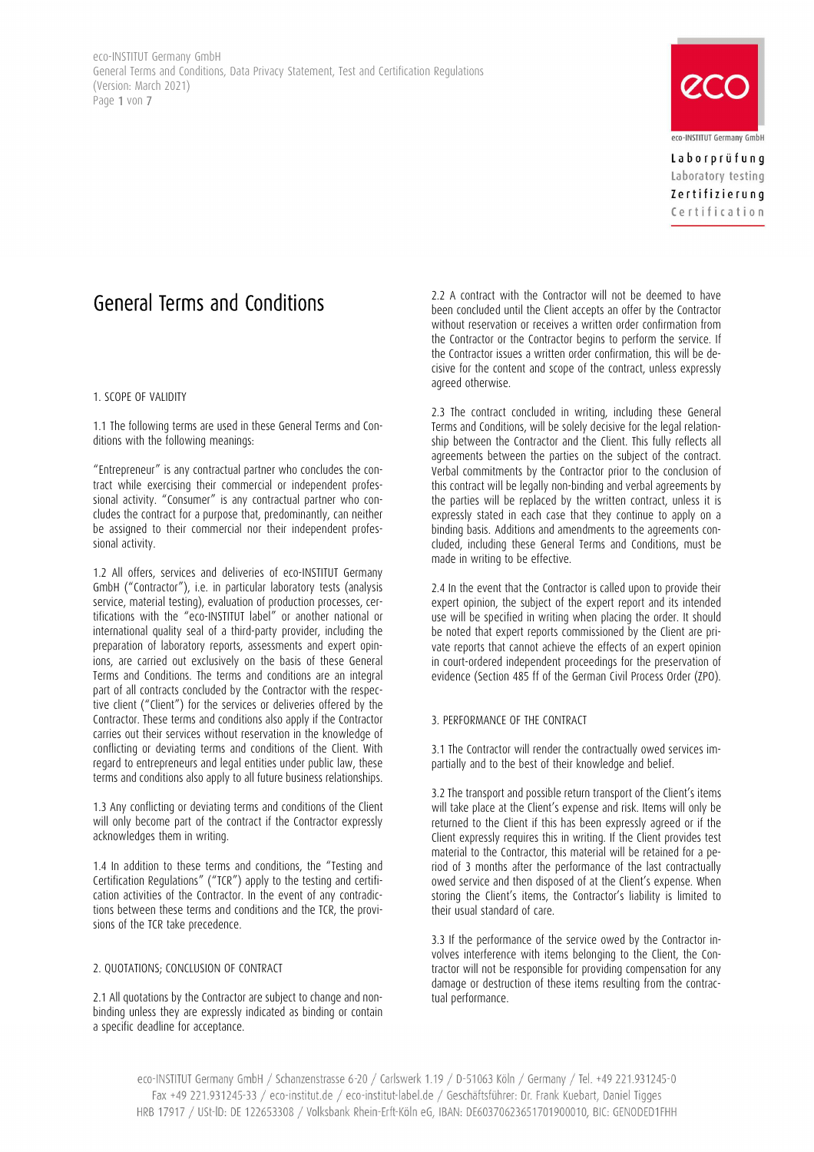eco-INSTITUT Germany GmbH General Terms and Conditions, Data Privacy Statement, Test and Certification Regulations (Version: March 2021) Page 1 von 7



Laborprüfung Laboratory testing Zertifizierung Certification

# General Terms and Conditions

# 1. SCOPE OF VALIDITY

1.1 The following terms are used in these General Terms and Conditions with the following meanings:

"Entrepreneur" is any contractual partner who concludes the contract while exercising their commercial or independent professional activity. "Consumer" is any contractual partner who concludes the contract for a purpose that, predominantly, can neither be assigned to their commercial nor their independent professional activity.

1.2 All offers, services and deliveries of eco-INSTITUT Germany GmbH ("Contractor"), i.e. in particular laboratory tests (analysis service, material testing), evaluation of production processes, certifications with the "eco-INSTITUT label" or another national or international quality seal of a third-party provider, including the preparation of laboratory reports, assessments and expert opinions, are carried out exclusively on the basis of these General Terms and Conditions. The terms and conditions are an integral part of all contracts concluded by the Contractor with the respective client ("Client") for the services or deliveries offered by the Contractor. These terms and conditions also apply if the Contractor carries out their services without reservation in the knowledge of conflicting or deviating terms and conditions of the Client. With regard to entrepreneurs and legal entities under public law, these terms and conditions also apply to all future business relationships.

1.3 Any conflicting or deviating terms and conditions of the Client will only become part of the contract if the Contractor expressly acknowledges them in writing.

1.4 In addition to these terms and conditions, the "Testing and Certification Regulations" ("TCR") apply to the testing and certification activities of the Contractor. In the event of any contradictions between these terms and conditions and the TCR, the provisions of the TCR take precedence.

# 2. QUOTATIONS; CONCLUSION OF CONTRACT

2.1 All quotations by the Contractor are subject to change and nonbinding unless they are expressly indicated as binding or contain a specific deadline for acceptance.

2.2 A contract with the Contractor will not be deemed to have been concluded until the Client accepts an offer by the Contractor without reservation or receives a written order confirmation from the Contractor or the Contractor begins to perform the service. If the Contractor issues a written order confirmation, this will be decisive for the content and scope of the contract, unless expressly agreed otherwise.

2.3 The contract concluded in writing, including these General Terms and Conditions, will be solely decisive for the legal relationship between the Contractor and the Client. This fully reflects all agreements between the parties on the subject of the contract. Verbal commitments by the Contractor prior to the conclusion of this contract will be legally non-binding and verbal agreements by the parties will be replaced by the written contract, unless it is expressly stated in each case that they continue to apply on a binding basis. Additions and amendments to the agreements concluded, including these General Terms and Conditions, must be made in writing to be effective.

2.4 In the event that the Contractor is called upon to provide their expert opinion, the subject of the expert report and its intended use will be specified in writing when placing the order. It should be noted that expert reports commissioned by the Client are private reports that cannot achieve the effects of an expert opinion in court-ordered independent proceedings for the preservation of evidence (Section 485 ff of the German Civil Process Order (ZPO).

# 3. PERFORMANCE OF THE CONTRACT

3.1 The Contractor will render the contractually owed services impartially and to the best of their knowledge and belief.

3.2 The transport and possible return transport of the Client's items will take place at the Client's expense and risk. Items will only be returned to the Client if this has been expressly agreed or if the Client expressly requires this in writing. If the Client provides test material to the Contractor, this material will be retained for a period of 3 months after the performance of the last contractually owed service and then disposed of at the Client's expense. When storing the Client's items, the Contractor's liability is limited to their usual standard of care.

3.3 If the performance of the service owed by the Contractor involves interference with items belonging to the Client, the Contractor will not be responsible for providing compensation for any damage or destruction of these items resulting from the contractual performance.

eco-INSTITUT Germany GmbH / Schanzenstrasse 6-20 / Carlswerk 1.19 / D-51063 Köln / Germany / Tel. +49 221.931245-0 Fax +49 221.931245-33 / eco-institut.de / eco-institut-label.de / Geschäftsführer: Dr. Frank Kuebart, Daniel Tigges HRB 17917 / USt-ID: DE 122653308 / Volksbank Rhein-Erft-Köln eG, IBAN: DE60370623651701900010, BIC: GENODED1FHH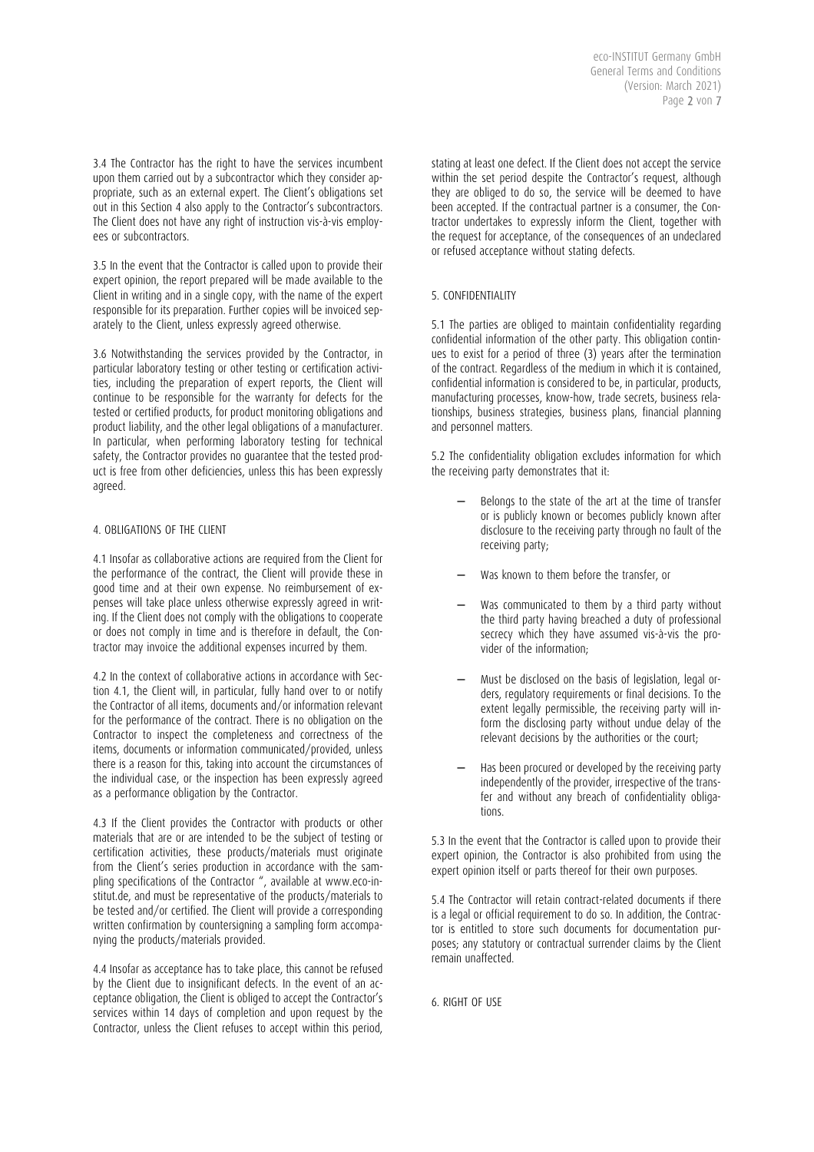3.4 The Contractor has the right to have the services incumbent upon them carried out by a subcontractor which they consider appropriate, such as an external expert. The Client's obligations set out in this Section 4 also apply to the Contractor's subcontractors. The Client does not have any right of instruction vis-à-vis employees or subcontractors.

3.5 In the event that the Contractor is called upon to provide their expert opinion, the report prepared will be made available to the Client in writing and in a single copy, with the name of the expert responsible for its preparation. Further copies will be invoiced separately to the Client, unless expressly agreed otherwise.

3.6 Notwithstanding the services provided by the Contractor, in particular laboratory testing or other testing or certification activities, including the preparation of expert reports, the Client will continue to be responsible for the warranty for defects for the tested or certified products, for product monitoring obligations and product liability, and the other legal obligations of a manufacturer. In particular, when performing laboratory testing for technical safety, the Contractor provides no guarantee that the tested product is free from other deficiencies, unless this has been expressly agreed.

# 4. OBLIGATIONS OF THE CLIENT

4.1 Insofar as collaborative actions are required from the Client for the performance of the contract, the Client will provide these in good time and at their own expense. No reimbursement of expenses will take place unless otherwise expressly agreed in writing. If the Client does not comply with the obligations to cooperate or does not comply in time and is therefore in default, the Contractor may invoice the additional expenses incurred by them.

4.2 In the context of collaborative actions in accordance with Section 4.1, the Client will, in particular, fully hand over to or notify the Contractor of all items, documents and/or information relevant for the performance of the contract. There is no obligation on the Contractor to inspect the completeness and correctness of the items, documents or information communicated/provided, unless there is a reason for this, taking into account the circumstances of the individual case, or the inspection has been expressly agreed as a performance obligation by the Contractor.

4.3 If the Client provides the Contractor with products or other materials that are or are intended to be the subject of testing or certification activities, these products/materials must originate from the Client's series production in accordance with the sampling specifications of the Contractor ", available at www.eco-institut.de, and must be representative of the products/materials to be tested and/or certified. The Client will provide a corresponding written confirmation by countersigning a sampling form accompanying the products/materials provided.

4.4 Insofar as acceptance has to take place, this cannot be refused by the Client due to insignificant defects. In the event of an acceptance obligation, the Client is obliged to accept the Contractor's services within 14 days of completion and upon request by the Contractor, unless the Client refuses to accept within this period,

stating at least one defect. If the Client does not accept the service within the set period despite the Contractor's request, although they are obliged to do so, the service will be deemed to have been accepted. If the contractual partner is a consumer, the Contractor undertakes to expressly inform the Client, together with the request for acceptance, of the consequences of an undeclared or refused acceptance without stating defects.

# 5. CONFIDENTIALITY

5.1 The parties are obliged to maintain confidentiality regarding confidential information of the other party. This obligation continues to exist for a period of three (3) years after the termination of the contract. Regardless of the medium in which it is contained, confidential information is considered to be, in particular, products, manufacturing processes, know-how, trade secrets, business relationships, business strategies, business plans, financial planning and personnel matters.

5.2 The confidentiality obligation excludes information for which the receiving party demonstrates that it:

- Belongs to the state of the art at the time of transfer or is publicly known or becomes publicly known after disclosure to the receiving party through no fault of the receiving party;
- Was known to them before the transfer, or
- Was communicated to them by a third party without the third party having breached a duty of professional secrecy which they have assumed vis-à-vis the provider of the information;
- − Must be disclosed on the basis of legislation, legal orders, regulatory requirements or final decisions. To the extent legally permissible, the receiving party will inform the disclosing party without undue delay of the relevant decisions by the authorities or the court;
- − Has been procured or developed by the receiving party independently of the provider, irrespective of the transfer and without any breach of confidentiality obligations.

5.3 In the event that the Contractor is called upon to provide their expert opinion, the Contractor is also prohibited from using the expert opinion itself or parts thereof for their own purposes.

5.4 The Contractor will retain contract-related documents if there is a legal or official requirement to do so. In addition, the Contractor is entitled to store such documents for documentation purposes; any statutory or contractual surrender claims by the Client remain unaffected.

6. RIGHT OF USE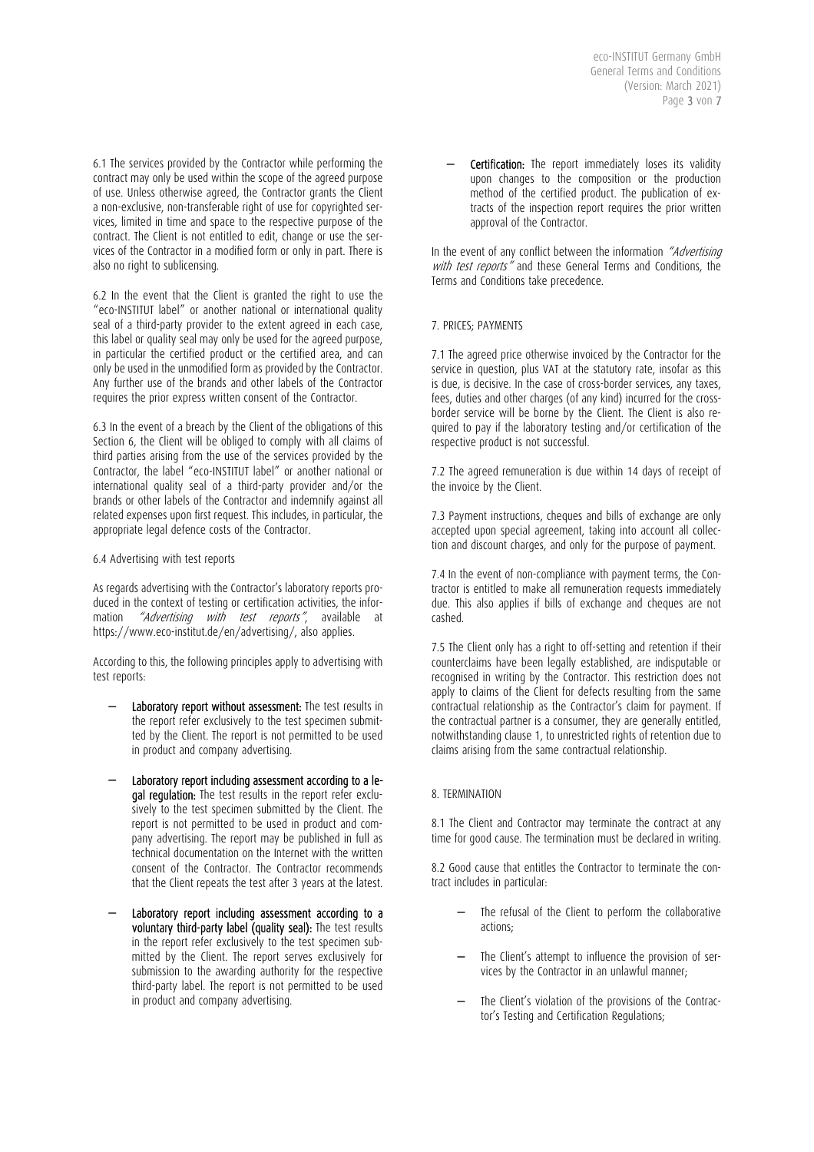6.1 The services provided by the Contractor while performing the contract may only be used within the scope of the agreed purpose of use. Unless otherwise agreed, the Contractor grants the Client a non-exclusive, non-transferable right of use for copyrighted services, limited in time and space to the respective purpose of the contract. The Client is not entitled to edit, change or use the services of the Contractor in a modified form or only in part. There is also no right to sublicensing.

6.2 In the event that the Client is granted the right to use the "eco-INSTITUT label" or another national or international quality seal of a third-party provider to the extent agreed in each case, this label or quality seal may only be used for the agreed purpose, in particular the certified product or the certified area, and can only be used in the unmodified form as provided by the Contractor. Any further use of the brands and other labels of the Contractor requires the prior express written consent of the Contractor.

6.3 In the event of a breach by the Client of the obligations of this Section 6, the Client will be obliged to comply with all claims of third parties arising from the use of the services provided by the Contractor, the label "eco-INSTITUT label" or another national or international quality seal of a third-party provider and/or the brands or other labels of the Contractor and indemnify against all related expenses upon first request. This includes, in particular, the appropriate legal defence costs of the Contractor.

6.4 Advertising with test reports

As regards advertising with the Contractor's laboratory reports produced in the context of testing or certification activities, the information "Advertising with test reports", available at https://www.eco-institut.de/en/advertising/, also applies.

According to this, the following principles apply to advertising with test reports:

- Laboratory report without assessment: The test results in the report refer exclusively to the test specimen submitted by the Client. The report is not permitted to be used in product and company advertising.
- − Laboratory report including assessment according to a legal requiation: The test results in the report refer exclusively to the test specimen submitted by the Client. The report is not permitted to be used in product and company advertising. The report may be published in full as technical documentation on the Internet with the written consent of the Contractor. The Contractor recommends that the Client repeats the test after 3 years at the latest.
- Laboratory report including assessment according to a voluntary third-party label (quality seal): The test results in the report refer exclusively to the test specimen submitted by the Client. The report serves exclusively for submission to the awarding authority for the respective third-party label. The report is not permitted to be used in product and company advertising.

Certification: The report immediately loses its validity upon changes to the composition or the production method of the certified product. The publication of extracts of the inspection report requires the prior written approval of the Contractor.

In the event of any conflict between the information "Advertising with test reports" and these General Terms and Conditions, the Terms and Conditions take precedence.

# 7. PRICES; PAYMENTS

7.1 The agreed price otherwise invoiced by the Contractor for the service in question, plus VAT at the statutory rate, insofar as this is due, is decisive. In the case of cross-border services, any taxes, fees, duties and other charges (of any kind) incurred for the crossborder service will be borne by the Client. The Client is also required to pay if the laboratory testing and/or certification of the respective product is not successful.

7.2 The agreed remuneration is due within 14 days of receipt of the invoice by the Client.

7.3 Payment instructions, cheques and bills of exchange are only accepted upon special agreement, taking into account all collection and discount charges, and only for the purpose of payment.

7.4 In the event of non-compliance with payment terms, the Contractor is entitled to make all remuneration requests immediately due. This also applies if bills of exchange and cheques are not cashed.

7.5 The Client only has a right to off-setting and retention if their counterclaims have been legally established, are indisputable or recognised in writing by the Contractor. This restriction does not apply to claims of the Client for defects resulting from the same contractual relationship as the Contractor's claim for payment. If the contractual partner is a consumer, they are generally entitled, notwithstanding clause 1, to unrestricted rights of retention due to claims arising from the same contractual relationship.

# 8. TERMINATION

8.1 The Client and Contractor may terminate the contract at any time for good cause. The termination must be declared in writing.

8.2 Good cause that entitles the Contractor to terminate the contract includes in particular:

- The refusal of the Client to perform the collaborative actions;
- − The Client's attempt to influence the provision of services by the Contractor in an unlawful manner;
- The Client's violation of the provisions of the Contractor's Testing and Certification Regulations;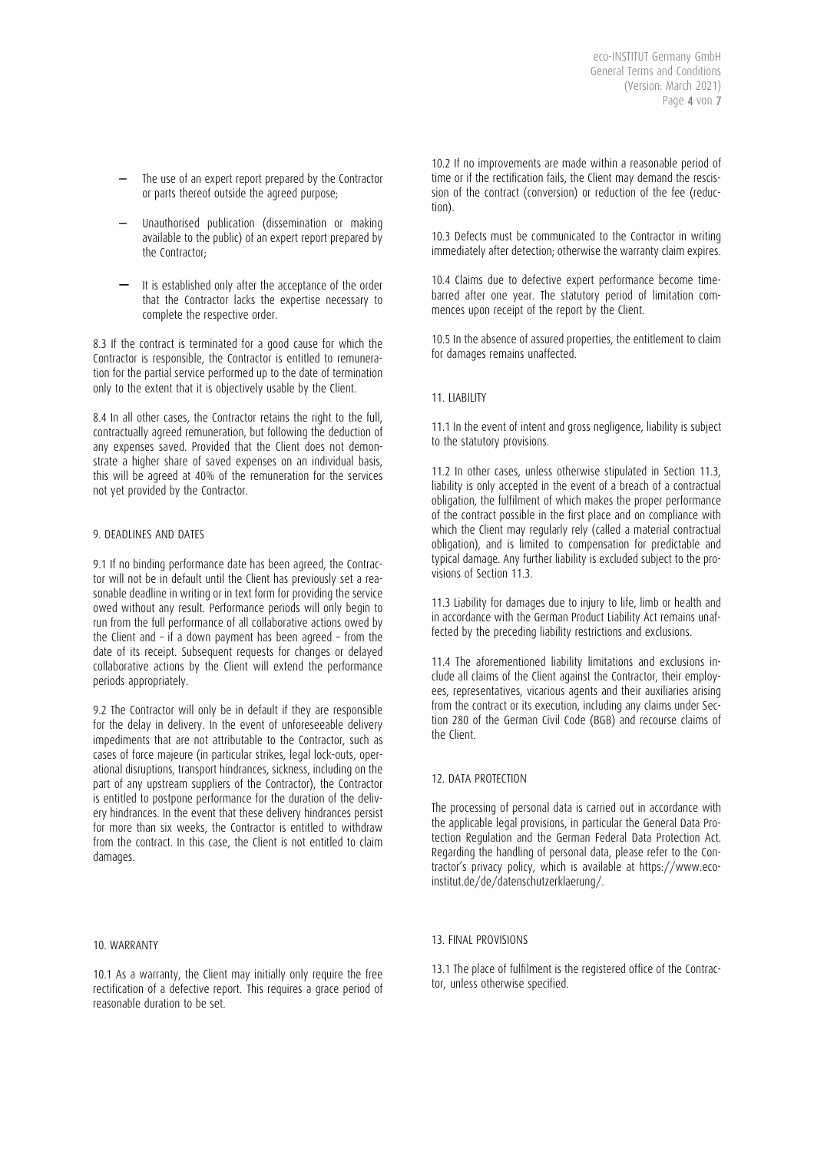- The use of an expert report prepared by the Contractor or parts thereof outside the agreed purpose;
- − Unauthorised publication (dissemination or making available to the public) of an expert report prepared by the Contractor;
- − It is established only after the acceptance of the order that the Contractor lacks the expertise necessary to complete the respective order.

8.3 If the contract is terminated for a good cause for which the Contractor is responsible, the Contractor is entitled to remuneration for the partial service performed up to the date of termination only to the extent that it is objectively usable by the Client.

8.4 In all other cases, the Contractor retains the right to the full, contractually agreed remuneration, but following the deduction of any expenses saved. Provided that the Client does not demonstrate a higher share of saved expenses on an individual basis, this will be agreed at 40% of the remuneration for the services not yet provided by the Contractor.

# 9. DEADLINES AND DATES

9.1 If no binding performance date has been agreed, the Contractor will not be in default until the Client has previously set a reasonable deadline in writing or in text form for providing the service owed without any result. Performance periods will only begin to run from the full performance of all collaborative actions owed by the Client and – if a down payment has been agreed – from the date of its receipt. Subsequent requests for changes or delayed collaborative actions by the Client will extend the performance periods appropriately.

9.2 The Contractor will only be in default if they are responsible for the delay in delivery. In the event of unforeseeable delivery impediments that are not attributable to the Contractor, such as cases of force majeure (in particular strikes, legal lock-outs, operational disruptions, transport hindrances, sickness, including on the part of any upstream suppliers of the Contractor), the Contractor is entitled to postpone performance for the duration of the delivery hindrances. In the event that these delivery hindrances persist for more than six weeks, the Contractor is entitled to withdraw from the contract. In this case, the Client is not entitled to claim damages.

#### 10. WARRANTY

10.1 As a warranty, the Client may initially only require the free rectification of a defective report. This requires a grace period of reasonable duration to be set.

10.2 If no improvements are made within a reasonable period of time or if the rectification fails, the Client may demand the rescission of the contract (conversion) or reduction of the fee (reduction).

10.3 Defects must be communicated to the Contractor in writing immediately after detection; otherwise the warranty claim expires.

10.4 Claims due to defective expert performance become timebarred after one year. The statutory period of limitation commences upon receipt of the report by the Client.

10.5 In the absence of assured properties, the entitlement to claim for damages remains unaffected.

#### 11. LIABILITY

11.1 In the event of intent and gross negligence, liability is subject to the statutory provisions.

11.2 In other cases, unless otherwise stipulated in Section 11.3, liability is only accepted in the event of a breach of a contractual obligation, the fulfilment of which makes the proper performance of the contract possible in the first place and on compliance with which the Client may regularly rely (called a material contractual obligation), and is limited to compensation for predictable and typical damage. Any further liability is excluded subject to the provisions of Section 11.3.

11.3 Liability for damages due to injury to life, limb or health and in accordance with the German Product Liability Act remains unaffected by the preceding liability restrictions and exclusions.

11.4 The aforementioned liability limitations and exclusions include all claims of the Client against the Contractor, their employees, representatives, vicarious agents and their auxiliaries arising from the contract or its execution, including any claims under Section 280 of the German Civil Code (BGB) and recourse claims of the Client.

#### 12. DATA PROTECTION

The processing of personal data is carried out in accordance with the applicable legal provisions, in particular the General Data Protection Regulation and the German Federal Data Protection Act. Regarding the handling of personal data, please refer to the Contractor's privacy policy, which is available at https://www.ecoinstitut.de/de/datenschutzerklaerung/.

#### 13. FINAL PROVISIONS

13.1 The place of fulfilment is the registered office of the Contractor, unless otherwise specified.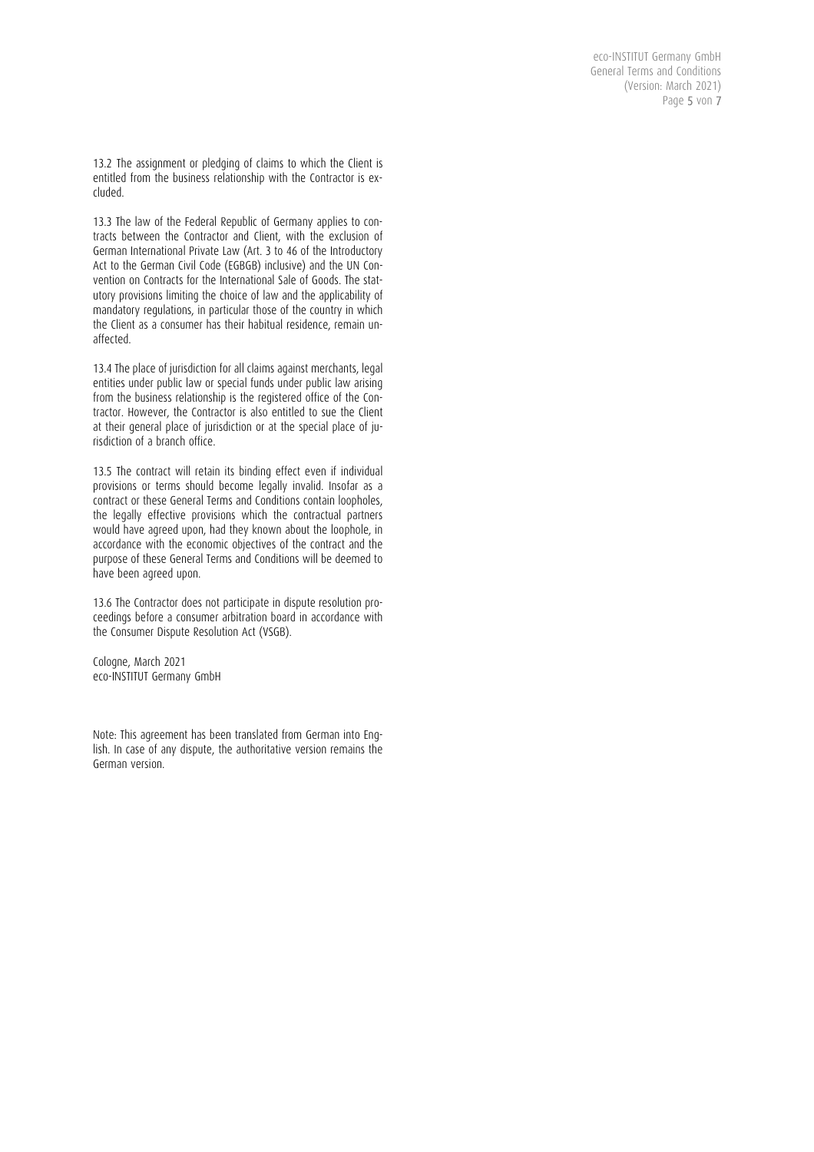eco-INSTITUT Germany GmbH General Terms and Conditions (Version: March 2021) Page 5 von 7

13.2 The assignment or pledging of claims to which the Client is entitled from the business relationship with the Contractor is excluded.

13.3 The law of the Federal Republic of Germany applies to contracts between the Contractor and Client, with the exclusion of German International Private Law (Art. 3 to 46 of the Introductory Act to the German Civil Code (EGBGB) inclusive) and the UN Convention on Contracts for the International Sale of Goods. The statutory provisions limiting the choice of law and the applicability of mandatory regulations, in particular those of the country in which the Client as a consumer has their habitual residence, remain unaffected.

13.4 The place of jurisdiction for all claims against merchants, legal entities under public law or special funds under public law arising from the business relationship is the registered office of the Contractor. However, the Contractor is also entitled to sue the Client at their general place of jurisdiction or at the special place of jurisdiction of a branch office.

13.5 The contract will retain its binding effect even if individual provisions or terms should become legally invalid. Insofar as a contract or these General Terms and Conditions contain loopholes, the legally effective provisions which the contractual partners would have agreed upon, had they known about the loophole, in accordance with the economic objectives of the contract and the purpose of these General Terms and Conditions will be deemed to have been agreed upon.

13.6 The Contractor does not participate in dispute resolution proceedings before a consumer arbitration board in accordance with the Consumer Dispute Resolution Act (VSGB).

Cologne, March 2021 eco-INSTITUT Germany GmbH

Note: This agreement has been translated from German into English. In case of any dispute, the authoritative version remains the German version.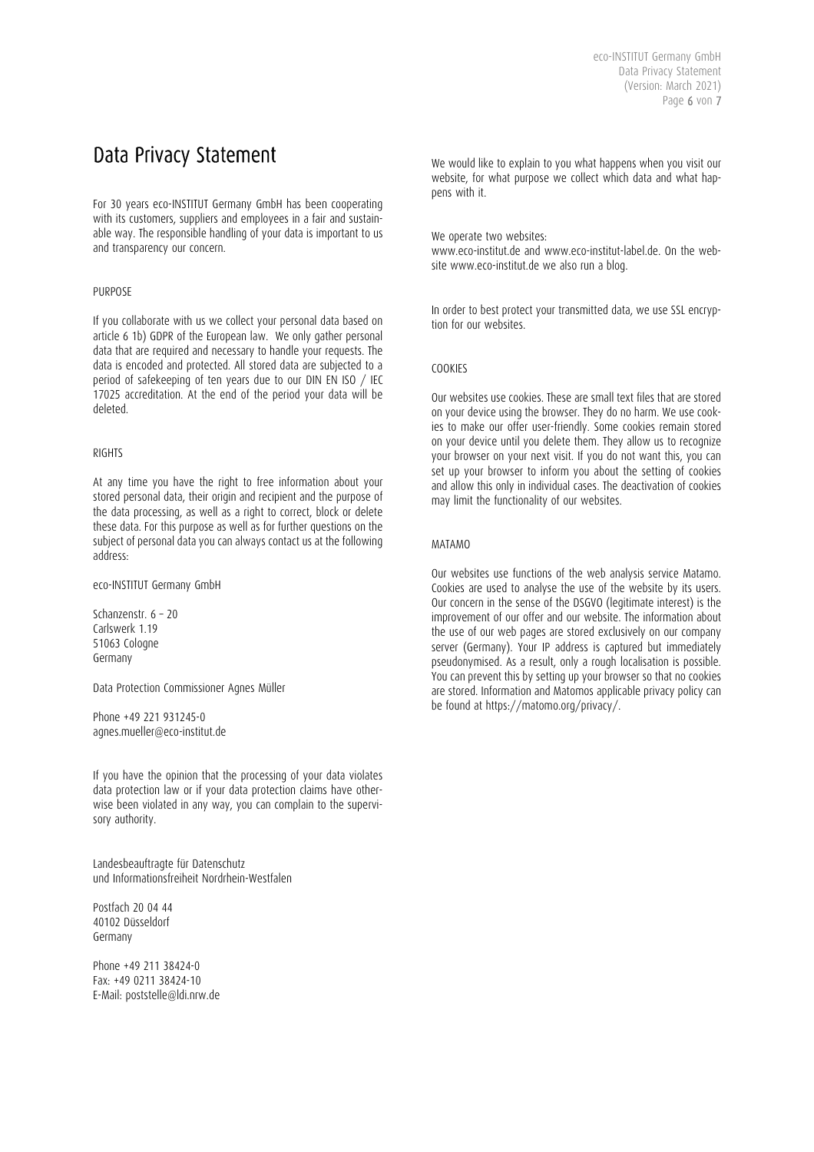# Data Privacy Statement

For 30 years eco-INSTITUT Germany GmbH has been cooperating with its customers, suppliers and employees in a fair and sustainable way. The responsible handling of your data is important to us and transparency our concern.

# PURPOSE

If you collaborate with us we collect your personal data based on article 6 1b) GDPR of the European law. We only gather personal data that are required and necessary to handle your requests. The data is encoded and protected. All stored data are subjected to a period of safekeeping of ten years due to our DIN EN ISO / IEC 17025 accreditation. At the end of the period your data will be deleted.

# RIGHTS

At any time you have the right to free information about your stored personal data, their origin and recipient and the purpose of the data processing, as well as a right to correct, block or delete these data. For this purpose as well as for further questions on the subject of personal data you can always contact us at the following address:

eco-INSTITUT Germany GmbH

Schanzenstr. 6 – 20 Carlswerk 1.19 51063 Cologne Germany

Data Protection Commissioner Agnes Müller

Phone +49 221 931245-0 agnes.mueller@eco-institut.de

If you have the opinion that the processing of your data violates data protection law or if your data protection claims have otherwise been violated in any way, you can complain to the supervisory authority.

Landesbeauftragte für Datenschutz und Informationsfreiheit Nordrhein-Westfalen

Postfach 20 04 44 40102 Düsseldorf Germany

Phone +49 211 38424-0 Fax: +49 0211 38424-10 E-Mail: poststelle@ldi.nrw.de

We would like to explain to you what happens when you visit our website, for what purpose we collect which data and what happens with it.

We operate two websites: www.eco-institut.de and www.eco-institut-label.de. On the website www.eco-institut.de we also run a blog.

In order to best protect your transmitted data, we use SSL encryption for our websites.

# **COOKIES**

Our websites use cookies. These are small text files that are stored on your device using the browser. They do no harm. We use cookies to make our offer user-friendly. Some cookies remain stored on your device until you delete them. They allow us to recognize your browser on your next visit. If you do not want this, you can set up your browser to inform you about the setting of cookies and allow this only in individual cases. The deactivation of cookies may limit the functionality of our websites.

# MATAMO

Our websites use functions of the web analysis service Matamo. Cookies are used to analyse the use of the website by its users. Our concern in the sense of the DSGVO (legitimate interest) is the improvement of our offer and our website. The information about the use of our web pages are stored exclusively on our company server (Germany). Your IP address is captured but immediately pseudonymised. As a result, only a rough localisation is possible. You can prevent this by setting up your browser so that no cookies are stored. Information and Matomos applicable privacy policy can be found at https://matomo.org/privacy/.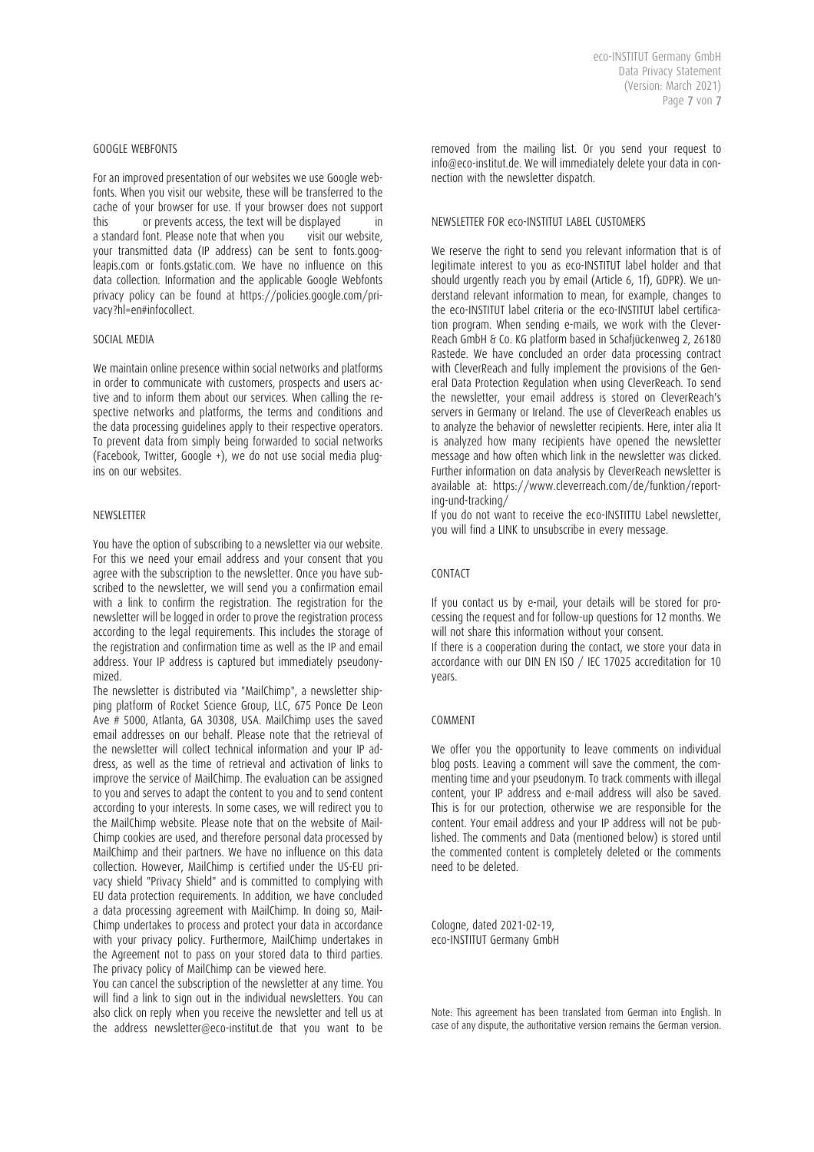#### GOOGLE WEBFONTS

For an improved presentation of our websites we use Google webfonts. When you visit our website, these will be transferred to the cache of your browser for use. If your browser does not support this or prevents access, the text will be displayed a standard font. Please note that when you visit our website, your transmitted data (IP address) can be sent to fonts.googleapis.com or fonts.gstatic.com. We have no influence on this data collection. Information and the applicable Google Webfonts privacy policy can be found at https://policies.google.com/privacy?hl=en#infocollect.

#### SOCIAL MEDIA

We maintain online presence within social networks and platforms in order to communicate with customers, prospects and users active and to inform them about our services. When calling the respective networks and platforms, the terms and conditions and the data processing guidelines apply to their respective operators. To prevent data from simply being forwarded to social networks (Facebook, Twitter, Google +), we do not use social media plugins on our websites.

#### NEWSLETTER

You have the option of subscribing to a newsletter via our website. For this we need your email address and your consent that you agree with the subscription to the newsletter. Once you have subscribed to the newsletter, we will send you a confirmation email with a link to confirm the registration. The registration for the newsletter will be logged in order to prove the registration process according to the legal requirements. This includes the storage of the registration and confirmation time as well as the IP and email address. Your IP address is captured but immediately pseudonymized.

The newsletter is distributed via "MailChimp", a newsletter shipping platform of Rocket Science Group, LLC, 675 Ponce De Leon Ave # 5000, Atlanta, GA 30308, USA. MailChimp uses the saved email addresses on our behalf. Please note that the retrieval of the newsletter will collect technical information and your IP address, as well as the time of retrieval and activation of links to improve the service of MailChimp. The evaluation can be assigned to you and serves to adapt the content to you and to send content according to your interests. In some cases, we will redirect you to the MailChimp website. Please note that on the website of Mail-Chimp cookies are used, and therefore personal data processed by MailChimp and their partners. We have no influence on this data collection. However, MailChimp is certified under the US-EU privacy shield "Privacy Shield" and is committed to complying with EU data protection requirements. In addition, we have concluded a data processing agreement with MailChimp. In doing so, Mail-Chimp undertakes to process and protect your data in accordance with your privacy policy. Furthermore, MailChimp undertakes in the Agreement not to pass on your stored data to third parties. The privacy policy of MailChimp can be viewed here.

You can cancel the subscription of the newsletter at any time. You will find a link to sign out in the individual newsletters. You can also click on reply when you receive the newsletter and tell us at the address newsletter@eco-institut.de that you want to be removed from the mailing list. Or you send your request to info@eco-institut.de. We will immediately delete your data in connection with the newsletter dispatch.

#### NEWSLETTER FOR eco-INSTITUT LABEL CUSTOMERS

We reserve the right to send you relevant information that is of legitimate interest to you as eco-INSTITUT label holder and that should urgently reach you by email (Article 6, 1f), GDPR). We understand relevant information to mean, for example, changes to the eco-INSTITUT label criteria or the eco-INSTITUT label certification program. When sending e-mails, we work with the Clever-Reach GmbH & Co. KG platform based in Schafjückenweg 2, 26180 Rastede. We have concluded an order data processing contract with CleverReach and fully implement the provisions of the General Data Protection Regulation when using CleverReach. To send the newsletter, your email address is stored on CleverReach's servers in Germany or Ireland. The use of CleverReach enables us to analyze the behavior of newsletter recipients. Here, inter alia It is analyzed how many recipients have opened the newsletter message and how often which link in the newsletter was clicked. Further information on data analysis by CleverReach newsletter is available at: https://www.cleverreach.com/de/funktion/reporting-und-tracking/

If you do not want to receive the eco-INSTITTU Label newsletter, you will find a LINK to unsubscribe in every message.

#### **CONTACT**

If you contact us by e-mail, your details will be stored for processing the request and for follow-up questions for 12 months. We will not share this information without your consent.

If there is a cooperation during the contact, we store your data in accordance with our DIN EN ISO / IEC 17025 accreditation for 10 years.

#### COMMENT

We offer you the opportunity to leave comments on individual blog posts. Leaving a comment will save the comment, the commenting time and your pseudonym. To track comments with illegal content, your IP address and e-mail address will also be saved. This is for our protection, otherwise we are responsible for the content. Your email address and your IP address will not be published. The comments and Data (mentioned below) is stored until the commented content is completely deleted or the comments need to be deleted.

Cologne, dated 2021-02-19, eco-INSTITUT Germany GmbH

Note: This agreement has been translated from German into English. In case of any dispute, the authoritative version remains the German version.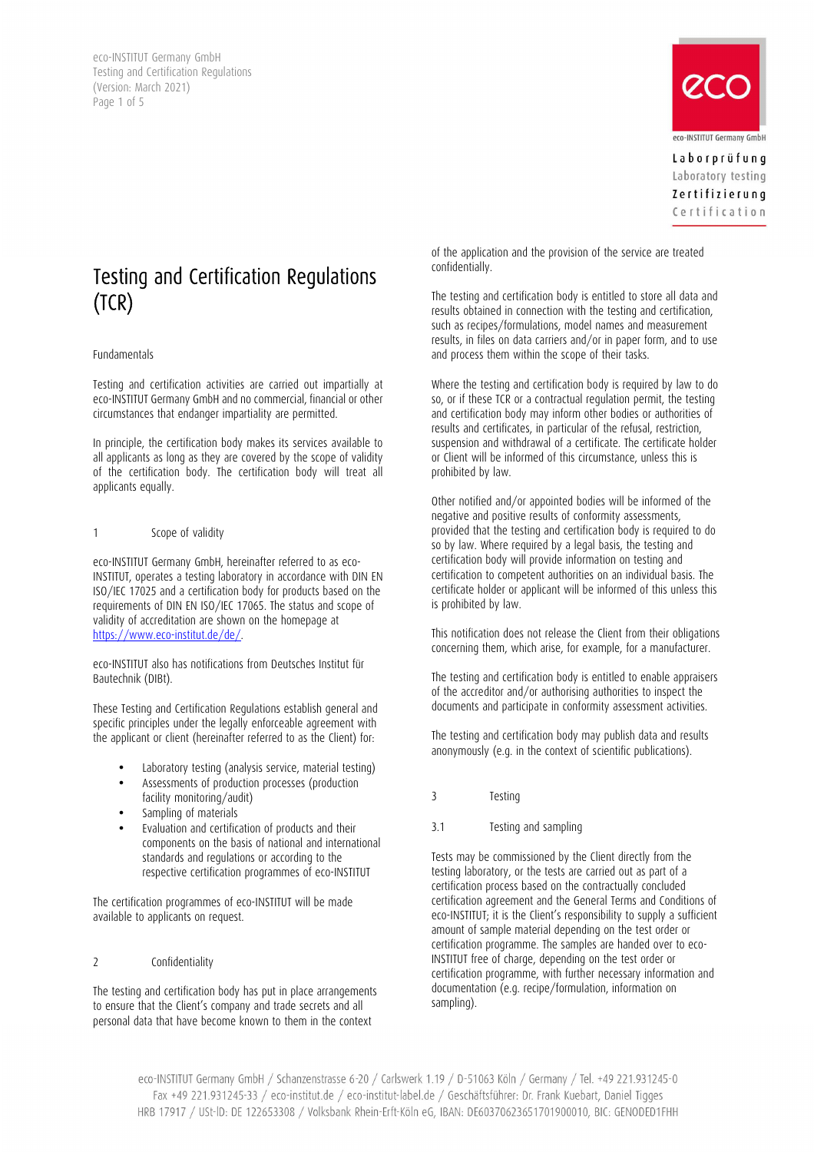eco-INSTITUT Germany GmbH Testing and Certification Regulations (Version: March 2021) Page 1 of 5



Laborprüfung Laboratory testing Zertifizierung Certification

# Testing and Certification Regulations (TCR)

#### Fundamentals

Testing and certification activities are carried out impartially at eco-INSTITUT Germany GmbH and no commercial, financial or other circumstances that endanger impartiality are permitted.

In principle, the certification body makes its services available to all applicants as long as they are covered by the scope of validity of the certification body. The certification body will treat all applicants equally.

# 1 Scope of validity

eco-INSTITUT Germany GmbH, hereinafter referred to as eco-INSTITUT, operates a testing laboratory in accordance with DIN EN ISO/IEC 17025 and a certification body for products based on the requirements of DIN EN ISO/IEC 17065. The status and scope of validity of accreditation are shown on the homepage at https://www.eco-institut.de/de/.

eco-INSTITUT also has notifications from Deutsches Institut für Bautechnik (DIBt).

These Testing and Certification Regulations establish general and specific principles under the legally enforceable agreement with the applicant or client (hereinafter referred to as the Client) for:

- Laboratory testing (analysis service, material testing)
- Assessments of production processes (production facility monitoring/audit)
- Sampling of materials
- Evaluation and certification of products and their components on the basis of national and international standards and regulations or according to the respective certification programmes of eco-INSTITUT

The certification programmes of eco-INSTITUT will be made available to applicants on request.

# 2 Confidentiality

The testing and certification body has put in place arrangements to ensure that the Client's company and trade secrets and all personal data that have become known to them in the context

of the application and the provision of the service are treated confidentially.

The testing and certification body is entitled to store all data and results obtained in connection with the testing and certification, such as recipes/formulations, model names and measurement results, in files on data carriers and/or in paper form, and to use and process them within the scope of their tasks.

Where the testing and certification body is required by law to do so, or if these TCR or a contractual regulation permit, the testing and certification body may inform other bodies or authorities of results and certificates, in particular of the refusal, restriction, suspension and withdrawal of a certificate. The certificate holder or Client will be informed of this circumstance, unless this is prohibited by law.

Other notified and/or appointed bodies will be informed of the negative and positive results of conformity assessments, provided that the testing and certification body is required to do so by law. Where required by a legal basis, the testing and certification body will provide information on testing and certification to competent authorities on an individual basis. The certificate holder or applicant will be informed of this unless this is prohibited by law.

This notification does not release the Client from their obligations concerning them, which arise, for example, for a manufacturer.

The testing and certification body is entitled to enable appraisers of the accreditor and/or authorising authorities to inspect the documents and participate in conformity assessment activities.

The testing and certification body may publish data and results anonymously (e.g. in the context of scientific publications).

- 3 Testing
- 3.1 Testing and sampling

Tests may be commissioned by the Client directly from the testing laboratory, or the tests are carried out as part of a certification process based on the contractually concluded certification agreement and the General Terms and Conditions of eco-INSTITUT; it is the Client's responsibility to supply a sufficient amount of sample material depending on the test order or certification programme. The samples are handed over to eco-INSTITUT free of charge, depending on the test order or certification programme, with further necessary information and documentation (e.g. recipe/formulation, information on sampling).

eco-INSTITUT Germany GmbH / Schanzenstrasse 6-20 / Carlswerk 1.19 / D-51063 Köln / Germany / Tel. +49 221.931245-0 Fax +49 221.931245-33 / eco-institut.de / eco-institut-label.de / Geschäftsführer: Dr. Frank Kuebart, Daniel Tigges HRB 17917 / USt-ID: DE 122653308 / Volksbank Rhein-Erft-Köln eG, IBAN: DE60370623651701900010, BIC: GENODED1FHH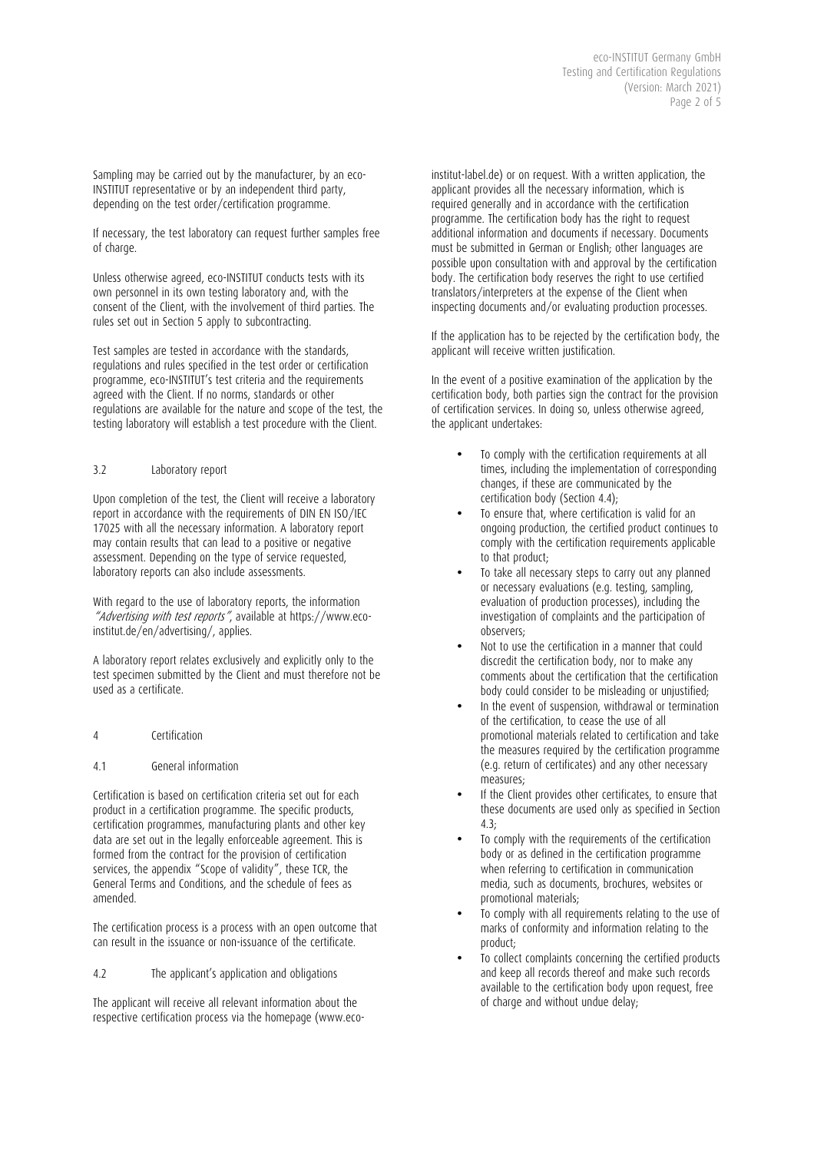Sampling may be carried out by the manufacturer, by an eco-INSTITUT representative or by an independent third party, depending on the test order/certification programme.

If necessary, the test laboratory can request further samples free of charge.

Unless otherwise agreed, eco-INSTITUT conducts tests with its own personnel in its own testing laboratory and, with the consent of the Client, with the involvement of third parties. The rules set out in Section 5 apply to subcontracting.

Test samples are tested in accordance with the standards, regulations and rules specified in the test order or certification programme, eco-INSTITUT's test criteria and the requirements agreed with the Client. If no norms, standards or other regulations are available for the nature and scope of the test, the testing laboratory will establish a test procedure with the Client.

# 3.2 Laboratory report

Upon completion of the test, the Client will receive a laboratory report in accordance with the requirements of DIN EN ISO/IEC 17025 with all the necessary information. A laboratory report may contain results that can lead to a positive or negative assessment. Depending on the type of service requested, laboratory reports can also include assessments.

With regard to the use of laboratory reports, the information "Advertising with test reports", available at https://www.ecoinstitut.de/en/advertising/, applies.

A laboratory report relates exclusively and explicitly only to the test specimen submitted by the Client and must therefore not be used as a certificate.

- 4 Certification
- 4.1 General information

Certification is based on certification criteria set out for each product in a certification programme. The specific products, certification programmes, manufacturing plants and other key data are set out in the legally enforceable agreement. This is formed from the contract for the provision of certification services, the appendix "Scope of validity", these TCR, the General Terms and Conditions, and the schedule of fees as amended.

The certification process is a process with an open outcome that can result in the issuance or non-issuance of the certificate.

4.2 The applicant's application and obligations

The applicant will receive all relevant information about the respective certification process via the homepage (www.eco-

institut-label.de) or on request. With a written application, the applicant provides all the necessary information, which is required generally and in accordance with the certification programme. The certification body has the right to request additional information and documents if necessary. Documents must be submitted in German or English; other languages are possible upon consultation with and approval by the certification body. The certification body reserves the right to use certified translators/interpreters at the expense of the Client when inspecting documents and/or evaluating production processes.

If the application has to be rejected by the certification body, the applicant will receive written justification.

In the event of a positive examination of the application by the certification body, both parties sign the contract for the provision of certification services. In doing so, unless otherwise agreed, the applicant undertakes:

- To comply with the certification requirements at all times, including the implementation of corresponding changes, if these are communicated by the certification body (Section 4.4);
- To ensure that, where certification is valid for an ongoing production, the certified product continues to comply with the certification requirements applicable to that product;
- To take all necessary steps to carry out any planned or necessary evaluations (e.g. testing, sampling, evaluation of production processes), including the investigation of complaints and the participation of observers;
- Not to use the certification in a manner that could discredit the certification body, nor to make any comments about the certification that the certification body could consider to be misleading or unjustified;
- In the event of suspension, withdrawal or termination of the certification, to cease the use of all promotional materials related to certification and take the measures required by the certification programme (e.g. return of certificates) and any other necessary measures;
- If the Client provides other certificates, to ensure that these documents are used only as specified in Section  $4.3<sup>5</sup>$
- To comply with the requirements of the certification body or as defined in the certification programme when referring to certification in communication media, such as documents, brochures, websites or promotional materials;
- To comply with all requirements relating to the use of marks of conformity and information relating to the product;
- To collect complaints concerning the certified products and keep all records thereof and make such records available to the certification body upon request, free of charge and without undue delay;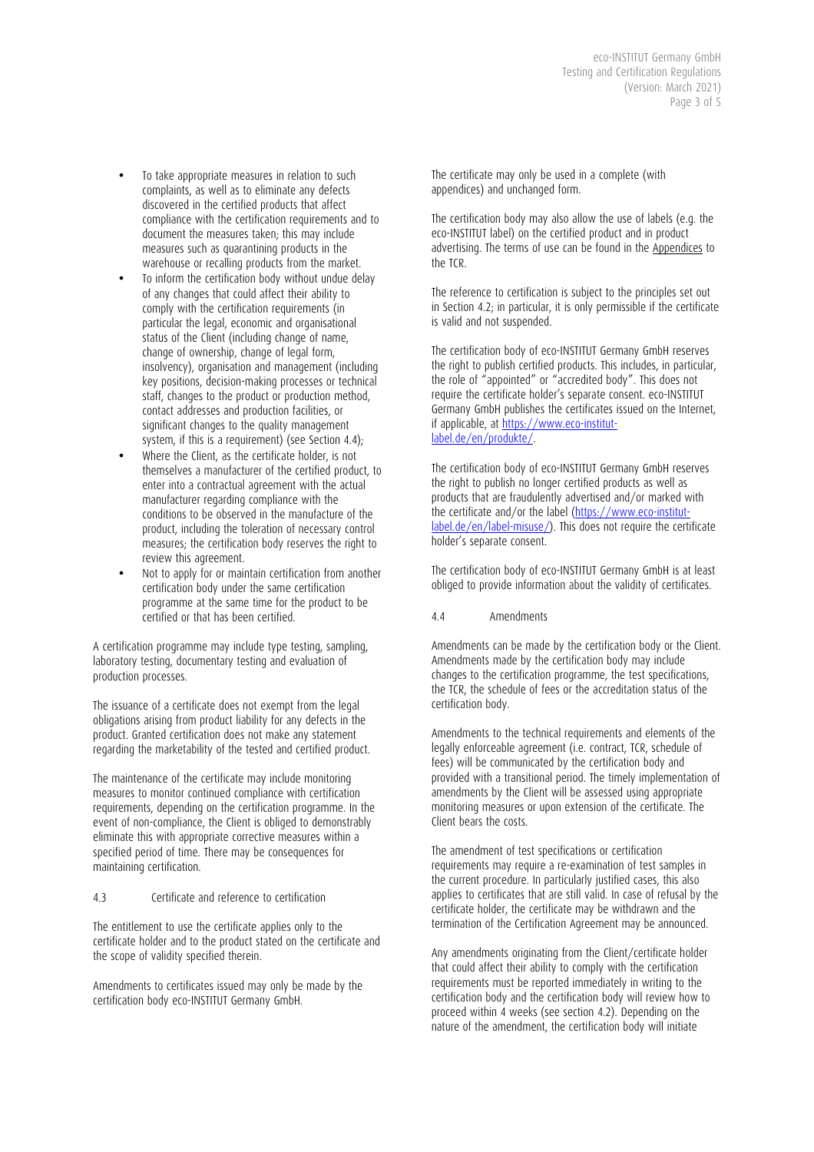- To take appropriate measures in relation to such complaints, as well as to eliminate any defects discovered in the certified products that affect compliance with the certification requirements and to document the measures taken; this may include measures such as quarantining products in the warehouse or recalling products from the market.
- To inform the certification body without undue delay of any changes that could affect their ability to comply with the certification requirements (in particular the legal, economic and organisational status of the Client (including change of name, change of ownership, change of legal form, insolvency), organisation and management (including key positions, decision-making processes or technical staff, changes to the product or production method, contact addresses and production facilities, or significant changes to the quality management system, if this is a requirement) (see Section 4.4);
- Where the Client, as the certificate holder, is not themselves a manufacturer of the certified product, to enter into a contractual agreement with the actual manufacturer regarding compliance with the conditions to be observed in the manufacture of the product, including the toleration of necessary control measures; the certification body reserves the right to review this agreement.
- Not to apply for or maintain certification from another certification body under the same certification programme at the same time for the product to be certified or that has been certified.

A certification programme may include type testing, sampling, laboratory testing, documentary testing and evaluation of production processes.

The issuance of a certificate does not exempt from the legal obligations arising from product liability for any defects in the product. Granted certification does not make any statement regarding the marketability of the tested and certified product.

The maintenance of the certificate may include monitoring measures to monitor continued compliance with certification requirements, depending on the certification programme. In the event of non-compliance, the Client is obliged to demonstrably eliminate this with appropriate corrective measures within a specified period of time. There may be consequences for maintaining certification.

# 4.3 Certificate and reference to certification

The entitlement to use the certificate applies only to the certificate holder and to the product stated on the certificate and the scope of validity specified therein.

Amendments to certificates issued may only be made by the certification body eco-INSTITUT Germany GmbH.

The certificate may only be used in a complete (with appendices) and unchanged form.

The certification body may also allow the use of labels (e.g. the eco-INSTITUT label) on the certified product and in product advertising. The terms of use can be found in the Appendices to the TCR.

The reference to certification is subject to the principles set out in Section 4.2; in particular, it is only permissible if the certificate is valid and not suspended.

The certification body of eco-INSTITUT Germany GmbH reserves the right to publish certified products. This includes, in particular, the role of "appointed" or "accredited body". This does not require the certificate holder's separate consent. eco-INSTITUT Germany GmbH publishes the certificates issued on the Internet, if applicable, at https://www.eco-institutlabel.de/en/produkte/.

The certification body of eco-INSTITUT Germany GmbH reserves the right to publish no longer certified products as well as products that are fraudulently advertised and/or marked with the certificate and/or the label (https://www.eco-institutlabel.de/en/label-misuse/). This does not require the certificate holder's separate consent.

The certification body of eco-INSTITUT Germany GmbH is at least obliged to provide information about the validity of certificates.

4.4 Amendments

Amendments can be made by the certification body or the Client. Amendments made by the certification body may include changes to the certification programme, the test specifications, the TCR, the schedule of fees or the accreditation status of the certification body.

Amendments to the technical requirements and elements of the legally enforceable agreement (i.e. contract, TCR, schedule of fees) will be communicated by the certification body and provided with a transitional period. The timely implementation of amendments by the Client will be assessed using appropriate monitoring measures or upon extension of the certificate. The Client bears the costs.

The amendment of test specifications or certification requirements may require a re-examination of test samples in the current procedure. In particularly justified cases, this also applies to certificates that are still valid. In case of refusal by the certificate holder, the certificate may be withdrawn and the termination of the Certification Agreement may be announced.

Any amendments originating from the Client/certificate holder that could affect their ability to comply with the certification requirements must be reported immediately in writing to the certification body and the certification body will review how to proceed within 4 weeks (see section 4.2). Depending on the nature of the amendment, the certification body will initiate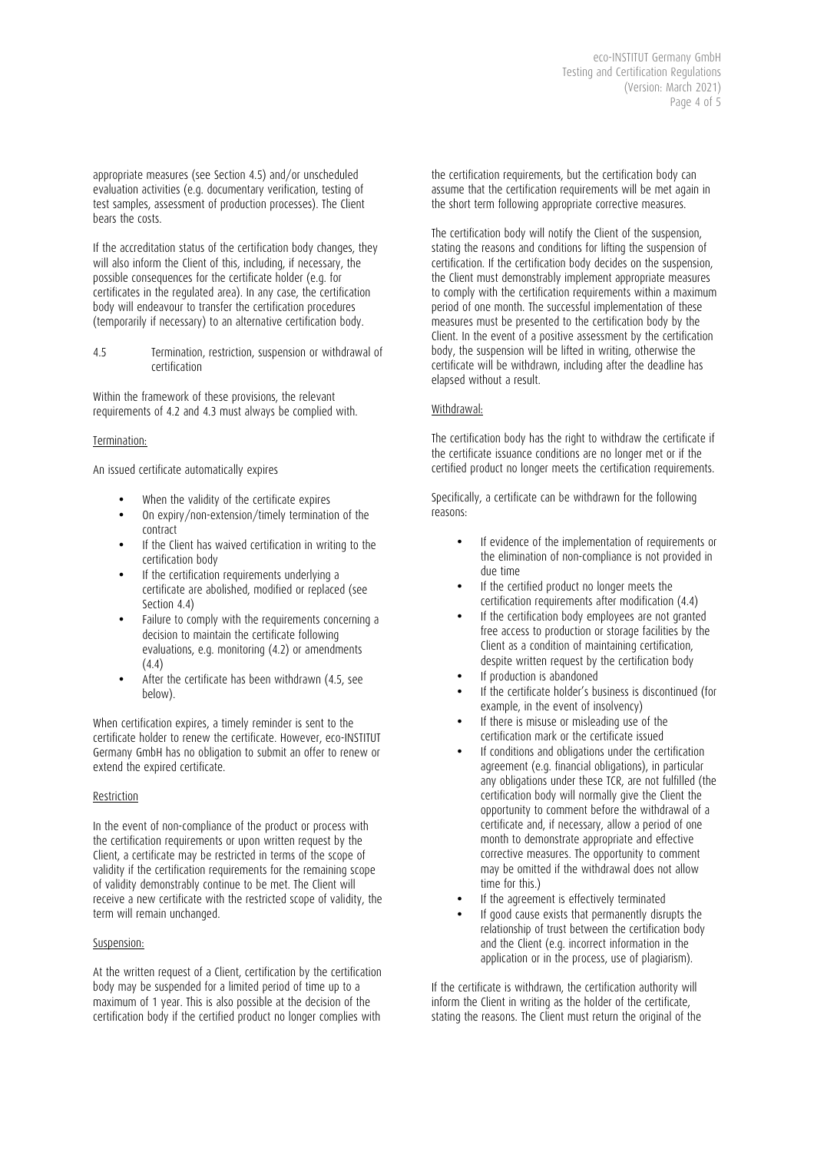eco-INSTITUT Germany GmbH Testing and Certification Regulations (Version: March 2021) Page 4 of  $\overline{5}$ 

appropriate measures (see Section 4.5) and/or unscheduled evaluation activities (e.g. documentary verification, testing of test samples, assessment of production processes). The Client bears the costs.

If the accreditation status of the certification body changes, they will also inform the Client of this, including, if necessary, the possible consequences for the certificate holder (e.g. for certificates in the regulated area). In any case, the certification body will endeavour to transfer the certification procedures (temporarily if necessary) to an alternative certification body.

4.5 Termination, restriction, suspension or withdrawal of certification

Within the framework of these provisions, the relevant requirements of 4.2 and 4.3 must always be complied with.

#### Termination:

An issued certificate automatically expires

- When the validity of the certificate expires
- On expiry/non-extension/timely termination of the contract
- If the Client has waived certification in writing to the certification body
- If the certification requirements underlying a certificate are abolished, modified or replaced (see Section 4.4)
- Failure to comply with the requirements concerning a decision to maintain the certificate following evaluations, e.g. monitoring (4.2) or amendments (4.4)
- After the certificate has been withdrawn (4.5, see below).

When certification expires, a timely reminder is sent to the certificate holder to renew the certificate. However, eco-INSTITUT Germany GmbH has no obligation to submit an offer to renew or extend the expired certificate.

# Restriction

In the event of non-compliance of the product or process with the certification requirements or upon written request by the Client, a certificate may be restricted in terms of the scope of validity if the certification requirements for the remaining scope of validity demonstrably continue to be met. The Client will receive a new certificate with the restricted scope of validity, the term will remain unchanged.

# Suspension:

At the written request of a Client, certification by the certification body may be suspended for a limited period of time up to a maximum of 1 year. This is also possible at the decision of the certification body if the certified product no longer complies with

the certification requirements, but the certification body can assume that the certification requirements will be met again in the short term following appropriate corrective measures.

The certification body will notify the Client of the suspension, stating the reasons and conditions for lifting the suspension of certification. If the certification body decides on the suspension, the Client must demonstrably implement appropriate measures to comply with the certification requirements within a maximum period of one month. The successful implementation of these measures must be presented to the certification body by the Client. In the event of a positive assessment by the certification body, the suspension will be lifted in writing, otherwise the certificate will be withdrawn, including after the deadline has elapsed without a result.

# Withdrawal:

The certification body has the right to withdraw the certificate if the certificate issuance conditions are no longer met or if the certified product no longer meets the certification requirements.

Specifically, a certificate can be withdrawn for the following reasons:

- If evidence of the implementation of requirements or the elimination of non-compliance is not provided in due time
- If the certified product no longer meets the certification requirements after modification (4.4)
- If the certification body employees are not granted free access to production or storage facilities by the Client as a condition of maintaining certification, despite written request by the certification body
- If production is abandoned
- If the certificate holder's business is discontinued (for example, in the event of insolvency)
- If there is misuse or misleading use of the certification mark or the certificate issued
- If conditions and obligations under the certification agreement (e.g. financial obligations), in particular any obligations under these TCR, are not fulfilled (the certification body will normally give the Client the opportunity to comment before the withdrawal of a certificate and, if necessary, allow a period of one month to demonstrate appropriate and effective corrective measures. The opportunity to comment may be omitted if the withdrawal does not allow time for this.)
- If the agreement is effectively terminated
- If good cause exists that permanently disrupts the relationship of trust between the certification body and the Client (e.g. incorrect information in the application or in the process, use of plagiarism).

If the certificate is withdrawn, the certification authority will inform the Client in writing as the holder of the certificate, stating the reasons. The Client must return the original of the